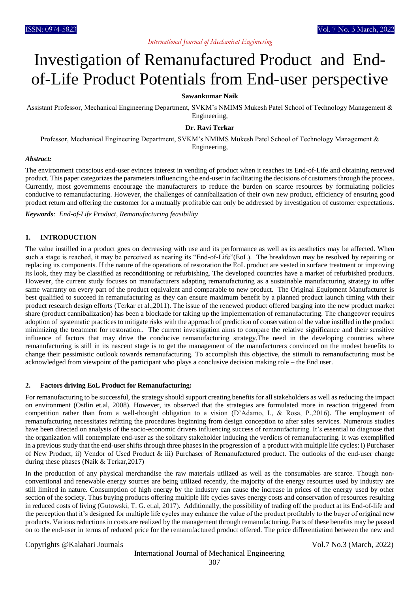# Investigation of Remanufactured Product and Endof-Life Product Potentials from End-user perspective

### **Sawankumar Naik**

Assistant Professor, Mechanical Engineering Department, SVKM's NMIMS Mukesh Patel School of Technology Management & Engineering,

#### **Dr. Ravi Terkar**

Professor, Mechanical Engineering Department, SVKM's NMIMS Mukesh Patel School of Technology Management & Engineering,

#### *Abstract:*

The environment conscious end-user evinces interest in vending of product when it reaches its End-of-Life and obtaining renewed product. This paper categorizes the parameters influencing the end-user in facilitating the decisions of customers through the process. Currently, most governments encourage the manufacturers to reduce the burden on scarce resources by formulating policies conducive to remanufacturing. However, the challenges of cannibalization of their own new product, efficiency of ensuring good product return and offering the customer for a mutually profitable can only be addressed by investigation of customer expectations.

*Keywords: End-of-Life Product, Remanufacturing feasibility*

### **1. INTRODUCTION**

The value instilled in a product goes on decreasing with use and its performance as well as its aesthetics may be affected. When such a stage is reached, it may be perceived as nearing its "End-of-Life"(EoL). The breakdown may be resolved by repairing or replacing its components. If the nature of the operations of restoration the EoL product are vested in surface treatment or improving its look, they may be classified as reconditioning or refurbishing. The developed countries have a market of refurbished products. However, the current study focuses on manufacturers adapting remanufacturing as a sustainable manufacturing strategy to offer same warranty on every part of the product equivalent and comparable to new product. The Original Equipment Manufacturer is best qualified to succeed in remanufacturing as they can ensure maximum benefit by a planned product launch timing with their product research design efforts (Terkar et al.,2011). The issue of the renewed product offered barging into the new product market share (product cannibalization) has been a blockade for taking up the implementation of remanufacturing. The changeover requires adoption of systematic practices to mitigate risks with the approach of prediction of conservation of the value instilled in the product minimizing the treatment for restoration.. The current investigation aims to compare the relative significance and their sensitive influence of factors that may drive the conducive remanufacturing strategy.The need in the developing countries where remanufacturing is still in its nascent stage is to get the management of the manufacturers convinced on the modest benefits to change their pessimistic outlook towards remanufacturing. To accomplish this objective, the stimuli to remanufacturing must be acknowledged from viewpoint of the participant who plays a conclusive decision making role – the End user.

#### **2. Factors driving EoL Product for Remanufacturing:**

For remanufacturing to be successful, the strategy should support creating benefits for all stakeholders as well as reducing the impact on environment (Ostlin et.al, 2008). However, its observed that the strategies are formulated more in reaction triggered from competition rather than from a well-thought obligation to a vision (D'Adamo, I., & Rosa, P.,2016). The employment of remanufacturing necessitates refitting the procedures beginning from design conception to after sales services. Numerous studies have been directed on analysis of the socio-economic drivers influencing success of remanufacturing. It's essential to diagnose that the organization will contemplate end-user as the solitary stakeholder inducing the verdicts of remanufacturing. It was exemplified in a previous study that the end-user shifts through three phases in the progression of a product with multiple life cycles: i) Purchaser of New Product, ii) Vendor of Used Product & iii) Purchaser of Remanufactured product. The outlooks of the end-user change during these phases (Naik & Terkar,2017)

In the production of any physical merchandise the raw materials utilized as well as the consumables are scarce. Though nonconventional and renewable energy sources are being utilized recently, the majority of the energy resources used by industry are still limited in nature. Consumption of high energy by the industry can cause the increase in prices of the energy used by other section of the society. Thus buying products offering multiple life cycles saves energy costs and conservation of resources resulting in reduced costs of living (Gutowski, T. G. et.al, 2017). Additionally, the possibility of trading off the product at its End-of-life and the perception that it's designed for multiple life cycles may enhance the value of the product profitably to the buyer of original new products. Various reductions in costs are realized by the management through remanufacturing. Parts of these benefits may be passed on to the end-user in terms of reduced price for the remanufactured product offered. The price differentiation between the new and

### Copyrights @Kalahari Journals Vol.7 No.3 (March, 2022)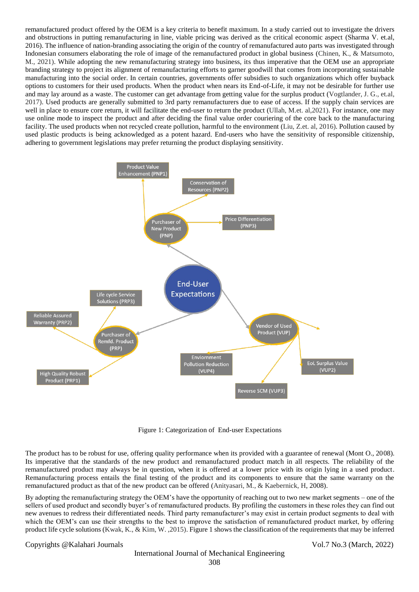remanufactured product offered by the OEM is a key criteria to benefit maximum. In a study carried out to investigate the drivers and obstructions in putting remanufacturing in line, viable pricing was derived as the critical economic aspect (Sharma V. et.al, 2016). The influence of nation-branding associating the origin of the country of remanufactured auto parts was investigated through Indonesian consumers elaborating the role of image of the remanufactured product in global business (Chinen, K., & Matsumoto, M., 2021). While adopting the new remanufacturing strategy into business, its thus imperative that the OEM use an appropriate branding strategy to project its alignment of remanufacturing efforts to garner goodwill that comes from incorporating sustainable manufacturing into the social order. In certain countries, governments offer subsidies to such organizations which offer buyback options to customers for their used products. When the product when nears its End-of-Life, it may not be desirable for further use and may lay around as a waste. The customer can get advantage from getting value for the surplus product (Vogtlander, J. G., et.al, 2017). Used products are generally submitted to 3rd party remanufacturers due to ease of access. If the supply chain services are well in place to ensure core return, it will facilitate the end-user to return the product (Ullah, M.et. al, 2021). For instance, one may use online mode to inspect the product and after deciding the final value order couriering of the core back to the manufacturing facility. The used products when not recycled create pollution, harmful to the environment (Liu, Z.et. al, 2016). Pollution caused by used plastic products is being acknowledged as a potent hazard. End-users who have the sensitivity of responsible citizenship, adhering to government legislations may prefer returning the product displaying sensitivity.



Figure 1: Categorization of End-user Expectations

The product has to be robust for use, offering quality performance when its provided with a guarantee of renewal (Mont O., 2008). Its imperative that the standards of the new product and remanufactured product match in all respects. The reliability of the remanufactured product may always be in question, when it is offered at a lower price with its origin lying in a used product. Remanufacturing process entails the final testing of the product and its components to ensure that the same warranty on the remanufactured product as that of the new product can be offered (Anityasari, M., & Kaebernick, H, 2008).

By adopting the remanufacturing strategy the OEM's have the opportunity of reaching out to two new market segments – one of the sellers of used product and secondly buyer's of remanufactured products. By profiling the customers in these roles they can find out new avenues to redress their differentiated needs. Third party remanufacturer's may exist in certain product segments to deal with which the OEM's can use their strengths to the best to improve the satisfaction of remanufactured product market, by offering product life cycle solutions (Kwak, K., & Kim, W. ,2015). Figure 1 shows the classification of the requirements that may be inferred

Copyrights @Kalahari Journals Vol.7 No.3 (March, 2022)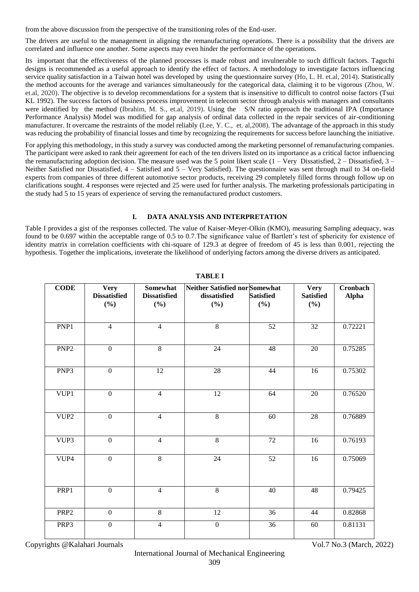from the above discussion from the perspective of the transitioning roles of the End-user.

The drivers are useful to the management in aligning the remanufacturing operations. There is a possibility that the drivers are correlated and influence one another. Some aspects may even hinder the performance of the operations.

Its important that the effectiveness of the planned processes is made robust and invulnerable to such difficult factors. Taguchi designs is recommended as a useful approach to identify the effect of factors. A methodology to investigate factors influencing service quality satisfaction in a Taiwan hotel was developed by using the questionnaire survey (Ho, L. H. et.al, 2014). Statistically the method accounts for the average and variances simultaneously for the categorical data, claiming it to be vigorous (Zhou, W. et.al, 2020). The objective is to develop recommendations for a system that is insensitive to difficult to control noise factors (Tsui KL 1992). The success factors of business process improvement in telecom sector through analysis with managers and consultants were identified by the method (Ibrahim, M. S., et.al, 2019). Using the S/N ratio approach the traditional IPA (Importance Performance Analysis) Model was modified for gap analysis of ordinal data collected in the repair services of air-conditioning manufacturer. It overcame the restraints of the model reliably (Lee, Y. C., et. al,2008). The advantage of the approach in this study was reducing the probability of financial losses and time by recognizing the requirements for success before launching the initiative.

For applying this methodology, in this study a survey was conducted among the marketing personnel of remanufacturing companies. The participant were asked to rank their agreement for each of the ten drivers listed on its importance as a critical factor influencing the remanufacturing adoption decision. The measure used was the 5 point likert scale  $(1 - \text{Very Dissatisfied}, 2 - \text{Dissatisfied}, 3 - \text{Pissatisfied}, 4 - \text{Pissatisfied}, 5 - \text{Pissatisfied}, 5 - \text{Pissatisfied}, 6 - \text{Pissatisfied}, 7 - \text{Pissatisfied}, 7 - \text{Pissatisfied}, 8 - \text{Pissatisfied}, 7 - \text{Pissatisfied}, 8 - \text{Pissatisfied}, 7 - \text{Pissatisfied}, 8 - \$ Neither Satisfied nor Dissatisfied, 4 – Satisfied and 5 – Very Satisfied). The questionnaire was sent through mail to 34 on-field experts from companies of three different automotive sector products, receiving 29 completely filled forms through follow up on clarifications sought. 4 responses were rejected and 25 were used for further analysis. The marketing professionals participating in the study had 5 to 15 years of experience of serving the remanufactured product customers.

# **I. DATA ANALYSIS AND INTERPRETATION**

Table I provides a gist of the responses collected. The value of Kaiser-Meyer-Olkin (KMO), measuring Sampling adequacy, was found to be 0.697 within the acceptable range of 0.5 to 0.7.The significance value of Bartlett's test of sphericity for existence of identity matrix in correlation coefficients with chi-square of 129.3 at degree of freedom of 45 is less than 0.001, rejecting the hypothesis. Together the implications, inveterate the likelihood of underlying factors among the diverse drivers as anticipated.

| <b>CODE</b>      | <b>Very</b><br><b>Dissatisfied</b><br>$(\%)$ | Somewhat<br><b>Dissatisfied</b><br>$(\%)$ | Neither Satisfied nor Somewhat<br>dissatisfied<br>$(\%)$ | <b>Satisfied</b><br>(%) | <b>Very</b><br><b>Satisfied</b><br>$(\%)$ | Cronbach<br><b>Alpha</b> |
|------------------|----------------------------------------------|-------------------------------------------|----------------------------------------------------------|-------------------------|-------------------------------------------|--------------------------|
|                  |                                              |                                           |                                                          |                         |                                           |                          |
| PNP1             | $\overline{4}$                               | $\overline{4}$                            | $\overline{8}$                                           | 52                      | 32                                        | 0.72221                  |
| PNP <sub>2</sub> | $\mathbf{0}$                                 | $\,8\,$                                   | 24                                                       | 48                      | 20                                        | 0.75285                  |
| PNP <sub>3</sub> | $\overline{0}$                               | $\overline{12}$                           | $\overline{28}$                                          | 44                      | 16                                        | 0.75302                  |
| VUP1             | $\mathbf{0}$                                 | $\overline{4}$                            | 12                                                       | 64                      | 20                                        | 0.76520                  |
| VUP2             | $\boldsymbol{0}$                             | $\overline{4}$                            | 8                                                        | 60                      | $28\,$                                    | 0.76889                  |
| VUP3             | $\mathbf{0}$                                 | $\overline{4}$                            | $\overline{8}$                                           | $\overline{72}$         | 16                                        | 0.76193                  |
| VUP4             | $\overline{0}$                               | $\overline{8}$                            | $\overline{24}$                                          | 52                      | $\overline{16}$                           | 0.75069                  |
| PRP1             | $\boldsymbol{0}$                             | $\overline{4}$                            | $\overline{8}$                                           | 40                      | 48                                        | 0.79425                  |
| PRP <sub>2</sub> | $\mathbf{0}$                                 | $8\,$                                     | 12                                                       | 36                      | 44                                        | 0.82868                  |
| PRP3             | $\boldsymbol{0}$                             | $\overline{4}$                            | $\mathbf{0}$                                             | 36                      | 60                                        | 0.81131                  |

**TABLE I**

Copyrights @Kalahari Journals Vol.7 No.3 (March, 2022)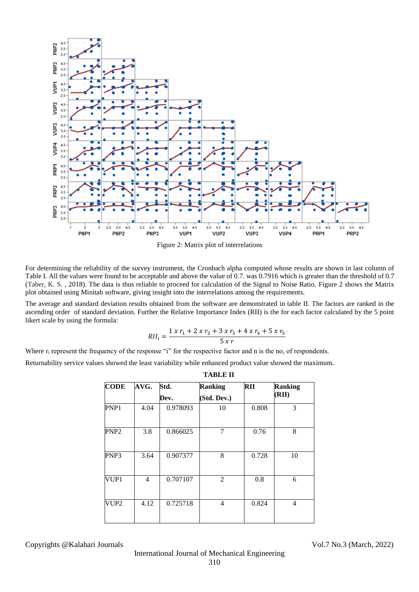

Figure 2: Matrix plot of interrelations

For determining the reliability of the survey instrument, the Cronbach alpha computed whose results are shown in last column of Table I. All the values were found to be acceptable and above the value of 0.7. was 0.7916 which is greater than the threshold of 0.7 (Taber, K. S. , 2018). The data is thus reliable to proceed for calculation of the Signal to Noise Ratio. Figure 2 shows the Matrix plot obtained using Minitab software, giving insight into the interrelations among the requirements.

The average and standard deviation results obtained from the software are demonstrated in table II. The factors are ranked in the ascending order of standard deviation. Further the Relative Importance Index (RII) is the for each factor calculated by the 5 point likert scale by using the formula:

$$
RII_i = \frac{1 x r_1 + 2 x r_2 + 3 x r_3 + 4 x r_4 + 5 x r_5}{5 x r}
$$

Where  $r_i$  represent the frequency of the response "i" for the respective factor and n is the no, of respondents.

Returnability service values showed the least variability while enhanced product value showed the maximum.

| <b>TABLE II</b>  |      |              |                               |            |                         |  |
|------------------|------|--------------|-------------------------------|------------|-------------------------|--|
| <b>CODE</b>      | AVG. | Std.<br>Dev. | <b>Ranking</b><br>(Std. Dev.) | <b>RII</b> | <b>Ranking</b><br>(RII) |  |
| PNP1             | 4.04 | 0.978093     | 10                            | 0.808      | 3                       |  |
| PNP <sub>2</sub> | 3.8  | 0.866025     | 7                             | 0.76       | 8                       |  |
| PNP3             | 3.64 | 0.907377     | 8                             | 0.728      | 10                      |  |
| VUP1             | 4    | 0.707107     | 2                             | 0.8        | 6                       |  |
| VUP2             | 4.12 | 0.725718     | 4                             | 0.824      | 4                       |  |

Copyrights @Kalahari Journals Vol.7 No.3 (March, 2022)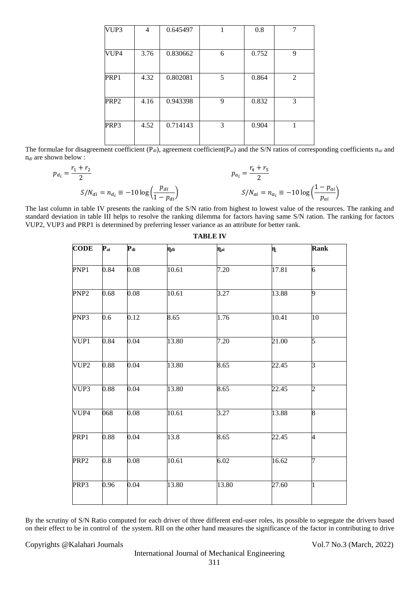| VUP3 | 4    | 0.645497 |   | 0.8   | 7              |
|------|------|----------|---|-------|----------------|
| VUP4 | 3.76 | 0.830662 | 6 | 0.752 | 9              |
| PRP1 | 4.32 | 0.802081 | 5 | 0.864 | $\overline{2}$ |
| PRP2 | 4.16 | 0.943398 | 9 | 0.832 | 3              |
| PRP3 | 4.52 | 0.714143 | 3 | 0.904 | 1              |

The formulae for disagreement coefficient  $(P_{di})$ , agreement coefficient( $P_{di}$ ) and the S/N ratios of corresponding coefficients  $n_{di}$  and n*di* are shown below :

$$
p_{d_i} = \frac{r_1 + r_2}{2}
$$
  
\n
$$
S/N_{di} = n_{d_i} \equiv -10 \log \left(\frac{p_{di}}{1 - p_{di}}\right)
$$
  
\n
$$
p_{a_i} = \frac{r_4 + r_5}{2}
$$
  
\n
$$
S/N_{ai} = n_{a_i} \equiv -10 \log \left(\frac{1 - p_{ai}}{p_{ai}}\right)
$$

The last column in table IV presents the ranking of the S/N ratio from highest to lowest value of the resources. The ranking and standard deviation in table III helps to resolve the ranking dilemma for factors having same S/N ration. The ranking for factors VUP2, VUP3 and PRP1 is determined by preferring lesser variance as an attribute for better rank.

| $\mathbf{P}_{\mathbf{ai}}$ | $P_{di}$ | nai   | $\eta_{ai}$ | n,    | Rank           |
|----------------------------|----------|-------|-------------|-------|----------------|
| 0.84                       | 0.08     | 10.61 | 7.20        | 17.81 | 6              |
| 0.68                       | 0.08     | 10.61 | 3.27        | 13.88 | 9              |
| 0.6                        | 0.12     | 8.65  | 1.76        | 10.41 | 10             |
| 0.84                       | 0.04     | 13.80 | 7.20        | 21.00 | 5              |
| 0.88                       | 0.04     | 13.80 | 8.65        | 22.45 | $\overline{3}$ |
| 0.88                       | 0.04     | 13.80 | 8.65        | 22.45 | $\overline{c}$ |
| 068                        | 0.08     | 10.61 | 3.27        | 13.88 | $\overline{8}$ |
| 0.88                       | 0.04     | 13.8  | 8.65        | 22.45 | $\overline{4}$ |
| 0.8                        | 0.08     | 10.61 | 6.02        | 16.62 | 7              |
| 0.96                       | 0.04     | 13.80 | 13.80       | 27.60 | 1              |
|                            |          |       |             |       |                |

**TABLE IV**

By the scrutiny of S/N Ratio computed for each driver of three different end-user roles, its possible to segregate the drivers based on their effect to be in control of the system. RII on the other hand measures the significance of the factor in contributing to drive

#### Copyrights @Kalahari Journals Vol.7 No.3 (March, 2022)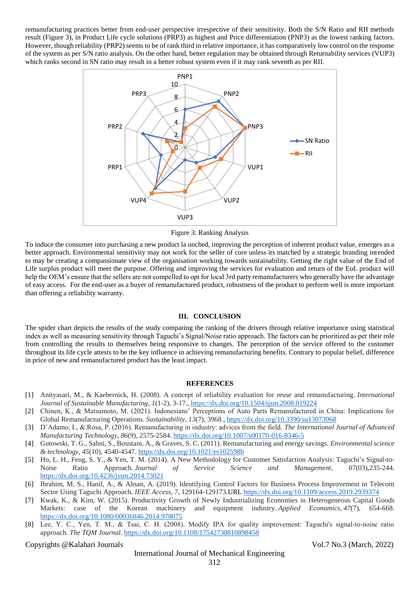remanufacturing practices better from end-user perspective irrespective of their sensitivity. Both the S/N Ratio and RII methods result (Figure 3), in Product Life cycle solutions (PRP3) as highest and Price differentiation (PNP3) as the lowest ranking factors. However, though reliability (PRP2) seems to be of rank third in relative importance, it has comparatively low control on the response of the system as per S/N ratio analysis. On the other hand, better regulation may be obtained through Returnability services (VUP3) which ranks second in SN ratio may result in a better robust system even if it may rank seventh as per RII.



Figure 3: Ranking Analysis

To induce the consumer into purchasing a new product la unched, improving the perception of inherent product value, emerges as a better approach. Environmental sensitivity may not work for the seller of core unless its matched by a strategic branding intended to may be creating a compassionate view of the organisation working towards sustainability. Getting the right value of the End of Life surplus product will meet the purpose. Offering and improving the services for evaluation and return of the EoL product will help the OEM's ensure that the sellers are not compelled to opt for local 3rd party remanufacturers who generally have the advantage of easy access. For the end-user as a buyer of remanufactured product, robustness of the product to perform well is more important than offering a reliability warranty.

# **III. CONCLUSION**

The spider chart depicts the results of the study comparing the ranking of the drivers through relative importance using statistical index as well as measuring sensitivity through Taguchi's Signal/Noise ratio approach. The factors can be prioritized as per their role from controlling the results to themselves being responsive to changes. The perception of the service offered to the customer throughout its life cycle attests to be the key influence in achieving remanufacturing benefits. Contrary to popular belief, difference in price of new and remanufactured product has the least impact.

# **REFERENCES**

- [1] Anityasari, M., & Kaebernick, H. (2008). A concept of reliability evaluation for reuse and remanufacturing. *International Journal of Sustainable Manufacturing*, *1*(1-2), 3-17.,<https://dx.doi.org/10.1504/ijsm.2008.019224>
- [2] Chinen, K., & Matsumoto, M. (2021). Indonesians' Perceptions of Auto Parts Remanufactured in China: Implications for Global Remanufacturing Operations. *Sustainability*, *13*(7), 3968.,<https://dx.doi.org/10.3390/su13073968>
- [3] D'Adamo, I., & Rosa, P. (2016). Remanufacturing in industry: advices from the field. *The International Journal of Advanced Manufacturing Technology*, *86*(9), 2575-2584. <https://dx.doi.org/10.1007/s00170-016-8346-5>
- [4] Gutowski, T. G., Sahni, S., Boustani, A., & Graves, S. C. (2011). Remanufacturing and energy savings. *Environmental science & technology*, *45*(10), 4540-4547. <https://dx.doi.org/10.1021/es102598b>
- [5] Ho, L. H., Feng, S. Y., & Yen, T. M. (2014). A New Methodology for Customer Satisfaction Analysis: Taguchi's Signal-to-Noise Ratio Approach. *Journal of Service Science and Management*, 07(03),235-244. <https://dx.doi.org/10.4236/jssm.2014.73021>
- [6] Ibrahim, M. S., Hanif, A., & Ahsan, A. (2019). Identifying Control Factors for Business Process Improvement in Telecom Sector Using Taguchi Approach. *IEEE Access*, *7*, 129164-129173.URL<https://dx.doi.org/10.1109/access.2019.2939374>
- [7] Kwak, K., & Kim, W. (2015). Productivity Growth of Newly Industrializing Economies in Heterogeneous Capital Goods Markets: case of the Korean machinery and equipment industry. *Applied Economics*, *47*(7), 654-668. <https://dx.doi.org/10.1080/00036846.2014.978075>
- [8] Lee, Y. C., Yen, T. M., & Tsai, C. H. (2008). Modify IPA for quality improvement: Taguchi's signal-to-noise ratio approach. *The TQM Journal*. <https://dx.doi.org/10.1108/17542730810898458>

Copyrights @Kalahari Journals Vol.7 No.3 (March, 2022)